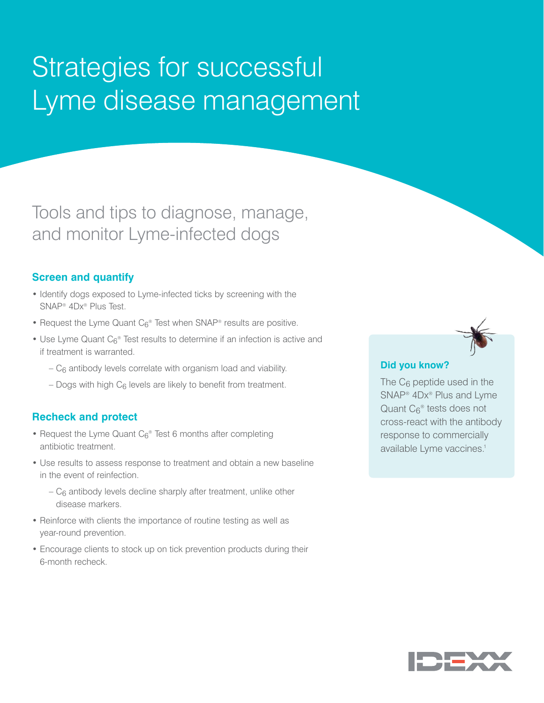# Strategies for successful Lyme disease management

Tools and tips to diagnose, manage, and monitor Lyme-infected dogs

## **Screen and quantify**

- Identify dogs exposed to Lyme-infected ticks by screening with the SNAP® 4Dx® Plus Test.
- Request the Lyme Quant  $C_6$ <sup>®</sup> Test when SNAP<sup>®</sup> results are positive.
- Use Lyme Quant C<sub>6</sub>® Test results to determine if an infection is active and if treatment is warranted.
	- $-C_6$  antibody levels correlate with organism load and viability.
	- Dogs with high  $C_6$  levels are likely to benefit from treatment.

## **Recheck and protect**

- Request the Lyme Quant  $C_6^{\circ}$  Test 6 months after completing antibiotic treatment.
- Use results to assess response to treatment and obtain a new baseline in the event of reinfection.
	- $-C_6$  antibody levels decline sharply after treatment, unlike other disease markers.
- Reinforce with clients the importance of routine testing as well as year-round prevention.
- Encourage clients to stock up on tick prevention products during their 6-month recheck.

### **Did you know?**

The  $C_6$  peptide used in the SNAP® 4Dx® Plus and Lyme Quant C<sub>6</sub><sup>®</sup> tests does not cross-react with the antibody response to commercially available Lyme vaccines.<sup>1</sup>